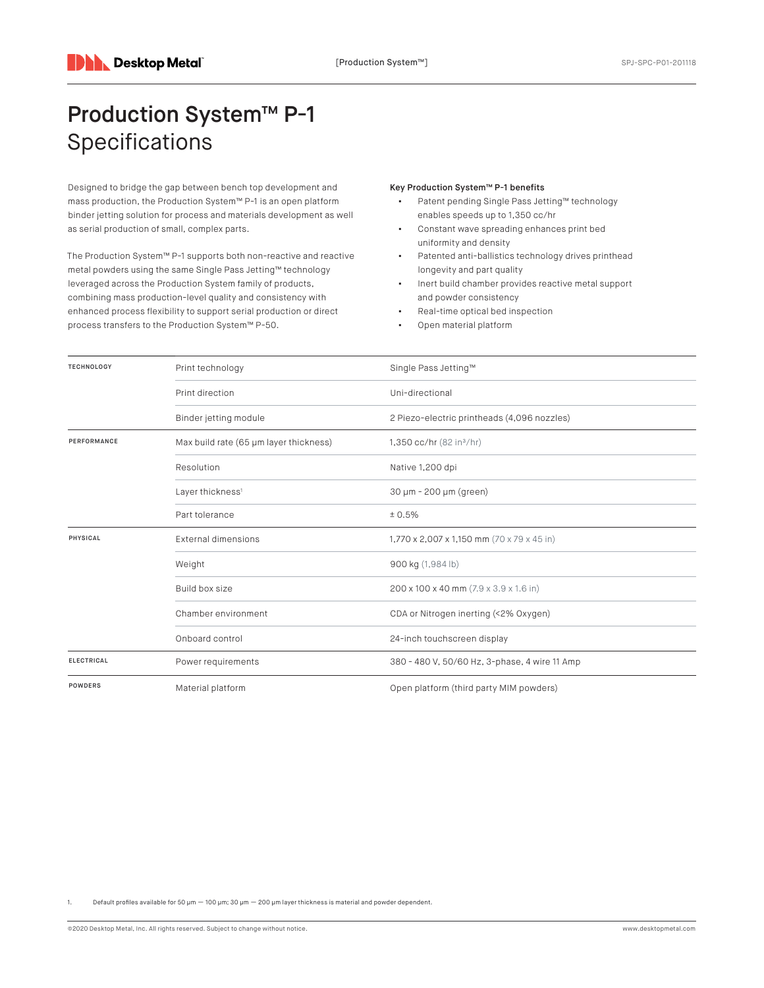## Production System™ P-1 Specifications

Designed to bridge the gap between bench top development and mass production, the Production System™ P-1 is an open platform binder jetting solution for process and materials development as well as serial production of small, complex parts.

The Production System™ P-1 supports both non-reactive and reactive metal powders using the same Single Pass Jetting™ technology leveraged across the Production System family of products, combining mass production-level quality and consistency with enhanced process flexibility to support serial production or direct process transfers to the Production System™ P-50.

## Key Production System™ P-1 benefits

- Patent pending Single Pass Jetting™ technology enables speeds up to 1,350 cc/hr
- Constant wave spreading enhances print bed uniformity and density
- Patented anti-ballistics technology drives printhead longevity and part quality
- Inert build chamber provides reactive metal support and powder consistency
- Real-time optical bed inspection
- Open material platform

| <b>TECHNOLOGY</b><br>PERFORMANCE<br><b>PHYSICAL</b> | Print technology                       | Single Pass Jetting™                          |
|-----------------------------------------------------|----------------------------------------|-----------------------------------------------|
|                                                     | Print direction                        | Uni-directional                               |
|                                                     | Binder jetting module                  | 2 Piezo-electric printheads (4,096 nozzles)   |
|                                                     | Max build rate (65 µm layer thickness) | 1,350 cc/hr $(82 in3/hr)$                     |
|                                                     | Resolution                             | Native 1,200 dpi                              |
|                                                     | Layer thickness <sup>1</sup>           | 30 µm - 200 µm (green)                        |
|                                                     | Part tolerance                         | ± 0.5%                                        |
|                                                     | <b>External dimensions</b>             | 1,770 x 2,007 x 1,150 mm (70 x 79 x 45 in)    |
|                                                     | Weight                                 | 900 kg (1,984 lb)                             |
|                                                     | Build box size                         | 200 x 100 x 40 mm (7.9 x 3.9 x 1.6 in)        |
|                                                     | Chamber environment                    | CDA or Nitrogen inerting (<2% Oxygen)         |
|                                                     | Onboard control                        | 24-inch touchscreen display                   |
| <b>ELECTRICAL</b>                                   | Power requirements                     | 380 - 480 V, 50/60 Hz, 3-phase, 4 wire 11 Amp |
| <b>POWDERS</b>                                      | Material platform                      | Open platform (third party MIM powders)       |

Default profiles available for 50 μm  $-$  100 μm; 30 μm  $-$  200 μm layer thickness is material and powder dependent.